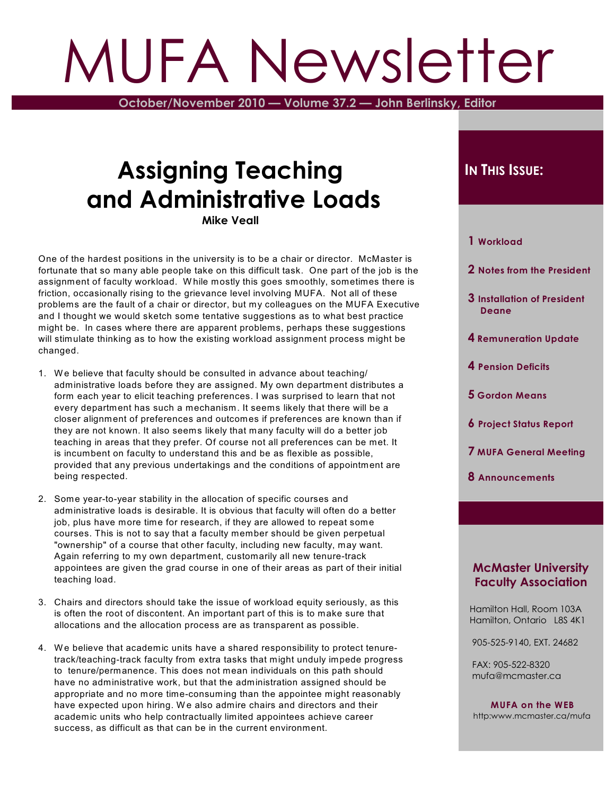# MUFA Newsletter

**October/November 2010 — Volume 37.2 — John Berlinsky, Editor**

### **Assigning Teaching and Administrative Loads Mike Veall**

One of the hardest positions in the university is to be a chair or director. McMaster is fortunate that so many able people take on this difficult task. One part of the job is the assignment of faculty workload. W hile mostly this goes smoothly, sometimes there is friction, occasionally rising to the grievance level involving MUFA. Not all of these problems are the fault of a chair or director, but my colleagues on the MUFA Executive and I thought we would sketch some tentative suggestions as to what best practice might be. In cases where there are apparent problems, perhaps these suggestions will stimulate thinking as to how the existing workload assignment process might be changed.

- 1. We believe that faculty should be consulted in advance about teaching/ administrative loads before they are assigned. My own department distributes a form each year to elicit teaching preferences. I was surprised to learn that not every department has such a mechanism. It seems likely that there will be a closer alignment of preferences and outcomes if preferences are known than if they are not known. It also seems likely that many faculty will do a better job teaching in areas that they prefer. Of course not all preferences can be met. It is incumbent on faculty to understand this and be as flexible as possible, provided that any previous undertakings and the conditions of appointment are being respected.
- 2. Some year-to-year stability in the allocation of specific courses and administrative loads is desirable. It is obvious that faculty will often do a better job, plus have more time for research, if they are allowed to repeat some courses. This is not to say that a faculty member should be given perpetual "ownership" of a course that other faculty, including new faculty, may want. Again referring to my own department, customarily all new tenure-track appointees are given the grad course in one of their areas as part of their initial teaching load.
- 3. Chairs and directors should take the issue of workload equity seriously, as this is often the root of discontent. An important part of this is to make sure that allocations and the allocation process are as transparent as possible.
- 4. W e believe that academic units have a shared responsibility to protect tenuretrack/teaching-track faculty from extra tasks that might unduly impede progress to tenure/permanence. This does not mean individuals on this path should have no administrative work, but that the administration assigned should be appropriate and no more time-consuming than the appointee might reasonably have expected upon hiring. We also admire chairs and directors and their academic units who help contractually limited appointees achieve career success, as difficult as that can be in the current environment.

#### **IN THIS ISSUE:**

#### **1 Workload**

- **2 Notes from the President**
- **3 Installation of President Deane**
- **4 Remuneration Update**
- **4 Pension Deficits**
- **5 Gordon Means**
- **6 Project Status Report**
- **7 MUFA General Meeting**
- **8 Announcements**

#### **McMaster University Faculty Association**

 Hamilton Hall, Room 103A Hamilton, Ontario L8S 4K1

905-525-9140, EXT. 24682

 FAX: 905-522-8320 mufa@mcmaster.ca

**MUFA on the WEB** http:www.mcmaster.ca/mufa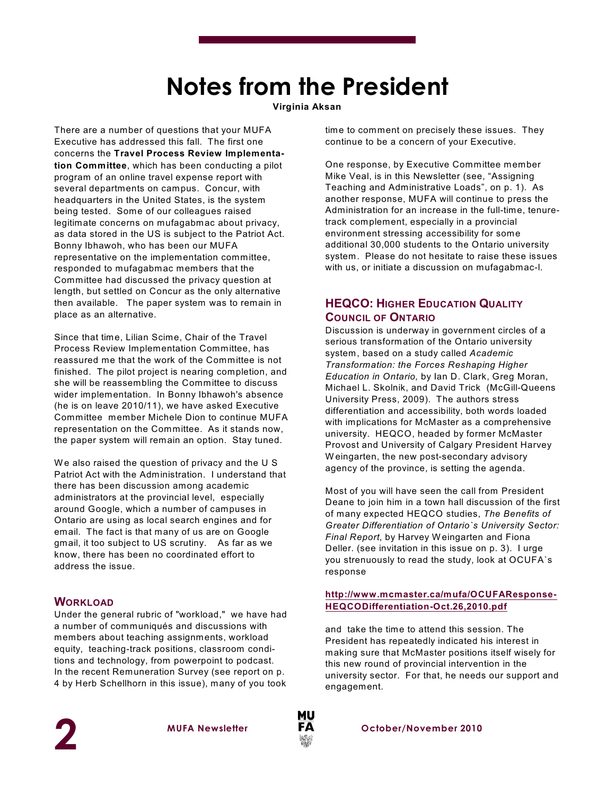## **Notes from the President**

#### **Virginia Aksan**

There are a number of questions that your MUFA Executive has addressed this fall. The first one concerns the **Travel Process Review Implementation Committee**, which has been conducting a pilot program of an online travel expense report with several departments on campus. Concur, with headquarters in the United States, is the system being tested. Some of our colleagues raised legitimate concerns on mufagabmac about privacy, as data stored in the US is subject to the Patriot Act. Bonny Ibhawoh, who has been our MUFA representative on the implementation committee, responded to mufagabmac members that the Committee had discussed the privacy question at length, but settled on Concur as the only alternative then available. The paper system was to remain in place as an alternative.

Since that time, Lilian Scime, Chair of the Travel Process Review Implementation Committee, has reassured me that the work of the Committee is not finished. The pilot project is nearing completion, and she will be reassembling the Committee to discuss wider implementation. In Bonny Ibhawoh's absence (he is on leave 2010/11), we have asked Executive Committee member Michele Dion to continue MUFA representation on the Committee. As it stands now, the paper system will remain an option. Stay tuned.

We also raised the question of privacy and the U S Patriot Act with the Administration. I understand that there has been discussion among academic administrators at the provincial level, especially around Google, which a number of campuses in Ontario are using as local search engines and for email. The fact is that many of us are on Google gmail, it too subject to US scrutiny. As far as we know, there has been no coordinated effort to address the issue.

#### **WORKLOAD**

Under the general rubric of "workload," we have had a number of communiqués and discussions with members about teaching assignments, workload equity, teaching-track positions, classroom conditions and technology, from powerpoint to podcast. In the recent Remuneration Survey (see report on p. 4 by Herb Schellhorn in this issue), many of you took

time to comment on precisely these issues. They continue to be a concern of your Executive.

One response, by Executive Committee member Mike Veal, is in this Newsletter (see, "Assigning Teaching and Administrative Loads", on p. 1). As another response, MUFA will continue to press the Administration for an increase in the full-time, tenuretrack complement, especially in a provincial environment stressing accessibility for some additional 30,000 students to the Ontario university system. Please do not hesitate to raise these issues with us, or initiate a discussion on mufagabmac-l.

#### **HEQCO: HIGHER EDUCATION QUALITY COUNCIL OF ONTARIO**

Discussion is underway in government circles of a serious transformation of the Ontario university system, based on a study called *Academic Transformation: the Forces Reshaping Higher Education in Ontario,* by Ian D. Clark, Greg Moran, Michael L. Skolnik, and David Trick (McGill-Queens University Press, 2009). The authors stress differentiation and accessibility, both words loaded with implications for McMaster as a comprehensive university. HEQCO, headed by former McMaster Provost and University of Calgary President Harvey W eingarten, the new post-secondary advisory agency of the province, is setting the agenda.

Most of you will have seen the call from President Deane to join him in a town hall discussion of the first of many expected HEQCO studies, *The Benefits of Greater Differentiation of Ontario`s University Sector: Final Report*, by Harvey Weingarten and Fiona Deller. (see invitation in this issue on p. 3). I urge you strenuously to read the study, look at OCUFA`s response

#### **[http://www.mcmaster.ca/mufa/OCUFAResponse-](http://www.mcmaster.ca/mufa/OCUFAResponse-HEQCODifferentiation-Oct.26,2010.pdf)[HEQCODifferentiation-Oct.26,2010.pdf](http://www.mcmaster.ca/mufa/OCUFAResponse-HEQCODifferentiation-Oct.26,2010.pdf)**

and take the time to attend this session. The President has repeatedly indicated his interest in making sure that McMaster positions itself wisely for this new round of provincial intervention in the university sector. For that, he needs our support and engagement.



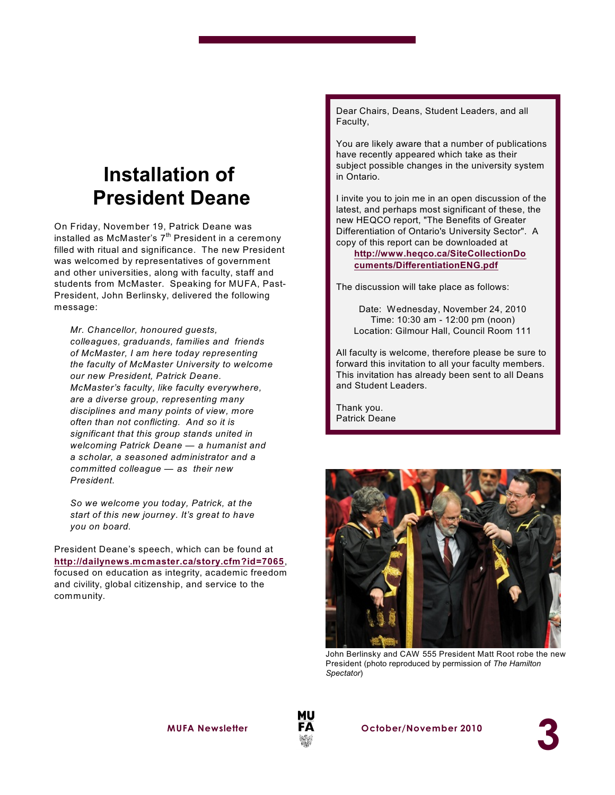## **Installation of President Deane**

On Friday, November 19, Patrick Deane was installed as McMaster's  $7^{\text{th}}$  President in a ceremony filled with ritual and significance. The new President was welcomed by representatives of government and other universities, along with faculty, staff and students from McMaster. Speaking for MUFA, Past-President, John Berlinsky, delivered the following message:

*Mr. Chancellor, honoured guests, colleagues, graduands, families and friends of McMaster, I am here today representing the faculty of McMaster University to welcome our new President, Patrick Deane. McMaster's faculty, like faculty everywhere, are a diverse group, representing many disciplines and many points of view, more often than not conflicting. And so it is significant that this group stands united in welcoming Patrick Deane — a humanist and a scholar, a seasoned administrator and a committed colleague — as their new President.*

*So we welcome you today, Patrick, at the start of this new journey. It's great to have you on board.*

President Deane's speech, which can be found at **<http://dailynews.mcmaster.ca/story.cfm?id=7065>**, focused on education as integrity, academic freedom and civility, global citizenship, and service to the community.

Dear Chairs, Deans, Student Leaders, and all Faculty,

You are likely aware that a number of publications have recently appeared which take as their subject possible changes in the university system in Ontario.

I invite you to join me in an open discussion of the latest, and perhaps most significant of these, the new HEQCO report, "The Benefits of Greater Differentiation of Ontario's University Sector". A copy of this report can be downloaded at

**[http://www.heqco.ca/SiteCollectionDo](http://www.heqco.ca/SiteCollectionDocuments/DifferentiationENG.pdf) [cuments/DifferentiationENG.pdf](http://www.heqco.ca/SiteCollectionDocuments/DifferentiationENG.pdf)**

The discussion will take place as follows:

Date: Wednesday, November 24, 2010 Time: 10:30 am - 12:00 pm (noon) Location: Gilmour Hall, Council Room 111

All faculty is welcome, therefore please be sure to forward this invitation to all your faculty members. This invitation has already been sent to all Deans and Student Leaders.

Thank you. Patrick Deane



John Berlinsky and CAW 555 President Matt Root robe the new President (photo reproduced by permission of *The Hamilton Spectator*)



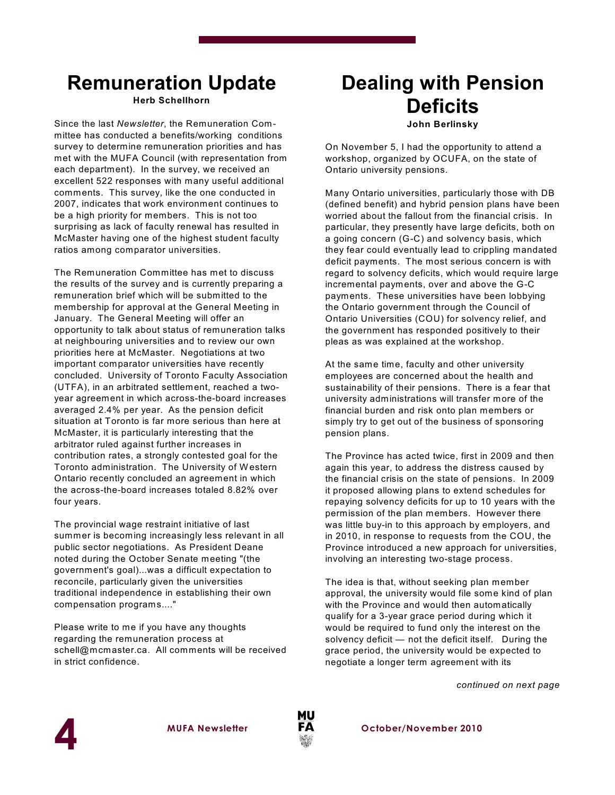## **Remuneration Update**

**Herb Schellhorn**

Since the last *Newsletter*, the Remuneration Committee has conducted a benefits/working conditions survey to determine remuneration priorities and has met with the MUFA Council (with representation from each department). In the survey, we received an excellent 522 responses with many useful additional comments. This survey, like the one conducted in 2007, indicates that work environment continues to be a high priority for members. This is not too surprising as lack of faculty renewal has resulted in McMaster having one of the highest student faculty ratios among comparator universities.

The Remuneration Committee has met to discuss the results of the survey and is currently preparing a remuneration brief which will be submitted to the membership for approval at the General Meeting in January. The General Meeting will offer an opportunity to talk about status of remuneration talks at neighbouring universities and to review our own priorities here at McMaster. Negotiations at two important comparator universities have recently concluded. University of Toronto Faculty Association (UTFA), in an arbitrated settlement, reached a twoyear agreement in which across-the-board increases averaged 2.4% per year. As the pension deficit situation at Toronto is far more serious than here at McMaster, it is particularly interesting that the arbitrator ruled against further increases in contribution rates, a strongly contested goal for the Toronto administration. The University of Western Ontario recently concluded an agreement in which the across-the-board increases totaled 8.82% over four years.

The provincial wage restraint initiative of last summer is becoming increasingly less relevant in all public sector negotiations. As President Deane noted during the October Senate meeting "(the government's goal)...was a difficult expectation to reconcile, particularly given the universities traditional independence in establishing their own compensation programs...."

Please write to me if you have any thoughts regarding the remuneration process at schell@mcmaster.ca. All comments will be received in strict confidence.

## **Dealing with Pension Deficits**

**John Berlinsky**

On November 5, I had the opportunity to attend a workshop, organized by OCUFA, on the state of Ontario university pensions.

Many Ontario universities, particularly those with DB (defined benefit) and hybrid pension plans have been worried about the fallout from the financial crisis. In particular, they presently have large deficits, both on a going concern (G-C) and solvency basis, which they fear could eventually lead to crippling mandated deficit payments. The most serious concern is with regard to solvency deficits, which would require large incremental payments, over and above the G-C payments. These universities have been lobbying the Ontario government through the Council of Ontario Universities (COU) for solvency relief, and the government has responded positively to their pleas as was explained at the workshop.

At the same time, faculty and other university employees are concerned about the health and sustainability of their pensions. There is a fear that university administrations will transfer more of the financial burden and risk onto plan members or simply try to get out of the business of sponsoring pension plans.

The Province has acted twice, first in 2009 and then again this year, to address the distress caused by the financial crisis on the state of pensions. In 2009 it proposed allowing plans to extend schedules for repaying solvency deficits for up to 10 years with the permission of the plan members. However there was little buy-in to this approach by employers, and in 2010, in response to requests from the COU, the Province introduced a new approach for universities, involving an interesting two-stage process.

The idea is that, without seeking plan member approval, the university would file some kind of plan with the Province and would then automatically qualify for a 3-year grace period during which it would be required to fund only the interest on the solvency deficit — not the deficit itself. During the grace period, the university would be expected to negotiate a longer term agreement with its

*continued on next page*





**MUFA** Newsletter **FA** October/November 2010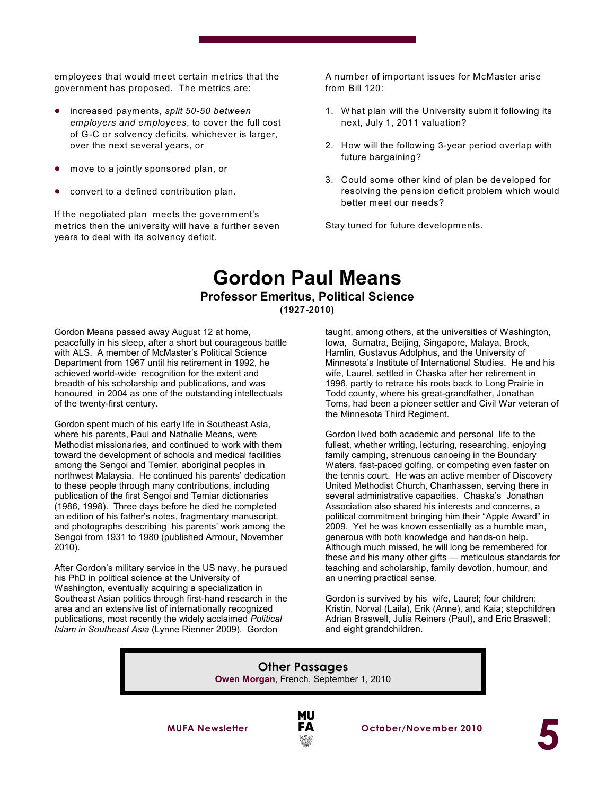employees that would meet certain metrics that the government has proposed. The metrics are:

- ! increased payments, *split 50-50 between employers and employees*, to cover the full cost of G-C or solvency deficits, whichever is larger, over the next several years, or
- move to a jointly sponsored plan, or
- convert to a defined contribution plan.

If the negotiated plan meets the government's metrics then the university will have a further seven years to deal with its solvency deficit.

A number of important issues for McMaster arise from Bill 120:

- 1. W hat plan will the University submit following its next, July 1, 2011 valuation?
- 2. How will the following 3-year period overlap with future bargaining?
- 3. Could some other kind of plan be developed for resolving the pension deficit problem which would better meet our needs?

Stay tuned for future developments.

#### **Gordon Paul Means Professor Emeritus, Political Science**

**(1927-2010)**

Gordon Means passed away August 12 at home, peacefully in his sleep, after a short but courageous battle with ALS. A member of McMaster's Political Science Department from 1967 until his retirement in 1992, he achieved world-wide recognition for the extent and breadth of his scholarship and publications, and was honoured in 2004 as one of the outstanding intellectuals of the twenty-first century.

Gordon spent much of his early life in Southeast Asia, where his parents, Paul and Nathalie Means, were Methodist missionaries, and continued to work with them toward the development of schools and medical facilities among the Sengoi and Temier, aboriginal peoples in northwest Malaysia. He continued his parents' dedication to these people through many contributions, including publication of the first Sengoi and Temiar dictionaries (1986, 1998). Three days before he died he completed an edition of his father's notes, fragmentary manuscript, and photographs describing his parents' work among the Sengoi from 1931 to 1980 (published Armour, November 2010).

After Gordon's military service in the US navy, he pursued his PhD in political science at the University of Washington, eventually acquiring a specialization in Southeast Asian politics through first-hand research in the area and an extensive list of internationally recognized publications, most recently the widely acclaimed *Political Islam in Southeast Asia* (Lynne Rienner 2009). Gordon

taught, among others, at the universities of Washington, Iowa, Sumatra, Beijing, Singapore, Malaya, Brock, Hamlin, Gustavus Adolphus, and the University of Minnesota's Institute of International Studies. He and his wife, Laurel, settled in Chaska after her retirement in 1996, partly to retrace his roots back to Long Prairie in Todd county, where his great-grandfather, Jonathan Toms, had been a pioneer settler and Civil War veteran of the Minnesota Third Regiment.

Gordon lived both academic and personal life to the fullest, whether writing, lecturing, researching, enjoying family camping, strenuous canoeing in the Boundary Waters, fast-paced golfing, or competing even faster on the tennis court. He was an active member of Discovery United Methodist Church, Chanhassen, serving there in several administrative capacities. Chaska's Jonathan Association also shared his interests and concerns, a political commitment bringing him their "Apple Award" in 2009. Yet he was known essentially as a humble man, generous with both knowledge and hands-on help. Although much missed, he will long be remembered for these and his many other gifts — meticulous standards for teaching and scholarship, family devotion, humour, and an unerring practical sense.

Gordon is survived by his wife, Laurel; four children: Kristin, Norval (Laila), Erik (Anne), and Kaia; stepchildren Adrian Braswell, Julia Reiners (Paul), and Eric Braswell; and eight grandchildren.

**Other Passages Owen Morgan**, French, September 1, 2010



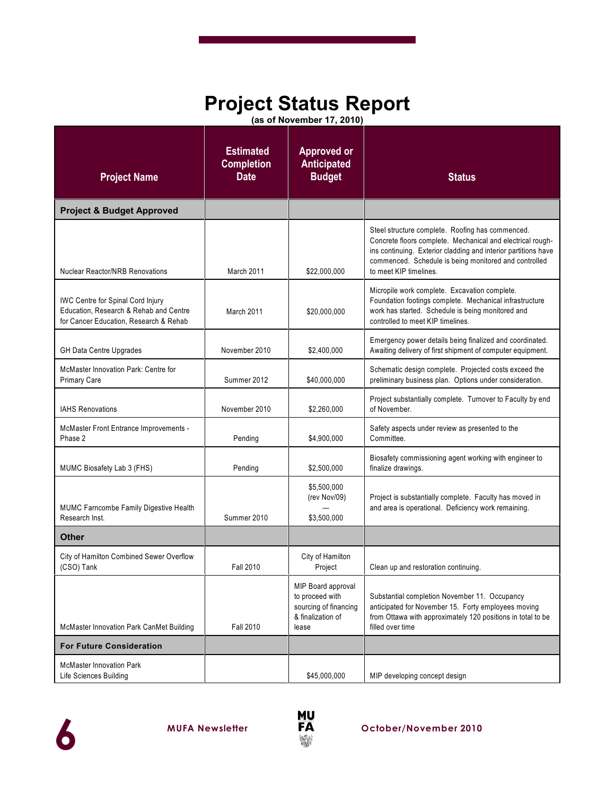## **Project Status Report**

**(as of November 17, 2010)**

| <b>Project Name</b>                                                                                                          | <b>Estimated</b><br><b>Completion</b><br><b>Date</b> | <b>Approved or</b><br><b>Anticipated</b><br><b>Budget</b>                                    | <b>Status</b>                                                                                                                                                                                                                                                       |
|------------------------------------------------------------------------------------------------------------------------------|------------------------------------------------------|----------------------------------------------------------------------------------------------|---------------------------------------------------------------------------------------------------------------------------------------------------------------------------------------------------------------------------------------------------------------------|
| <b>Project &amp; Budget Approved</b>                                                                                         |                                                      |                                                                                              |                                                                                                                                                                                                                                                                     |
| <b>Nuclear Reactor/NRB Renovations</b>                                                                                       | March 2011                                           | \$22,000,000                                                                                 | Steel structure complete. Roofing has commenced.<br>Concrete floors complete. Mechanical and electrical rough-<br>ins continuing. Exterior cladding and interior partitions have<br>commenced. Schedule is being monitored and controlled<br>to meet KIP timelines. |
| <b>IWC Centre for Spinal Cord Injury</b><br>Education, Research & Rehab and Centre<br>for Cancer Education, Research & Rehab | March 2011                                           | \$20,000,000                                                                                 | Micropile work complete. Excavation complete.<br>Foundation footings complete. Mechanical infrastructure<br>work has started. Schedule is being monitored and<br>controlled to meet KIP timelines.                                                                  |
| <b>GH Data Centre Upgrades</b>                                                                                               | November 2010                                        | \$2.400.000                                                                                  | Emergency power details being finalized and coordinated.<br>Awaiting delivery of first shipment of computer equipment.                                                                                                                                              |
| McMaster Innovation Park: Centre for<br><b>Primary Care</b>                                                                  | Summer 2012                                          | \$40,000,000                                                                                 | Schematic design complete. Projected costs exceed the<br>preliminary business plan. Options under consideration.                                                                                                                                                    |
| <b>IAHS Renovations</b>                                                                                                      | November 2010                                        | \$2,260,000                                                                                  | Project substantially complete. Turnover to Faculty by end<br>of November.                                                                                                                                                                                          |
| McMaster Front Entrance Improvements -<br>Phase 2                                                                            | Pending                                              | \$4,900,000                                                                                  | Safety aspects under review as presented to the<br>Committee.                                                                                                                                                                                                       |
| MUMC Biosafety Lab 3 (FHS)                                                                                                   | Pending                                              | \$2,500,000                                                                                  | Biosafety commissioning agent working with engineer to<br>finalize drawings.                                                                                                                                                                                        |
| MUMC Farncombe Family Digestive Health<br>Research Inst.                                                                     | Summer 2010                                          | \$5,500,000<br>(rev Nov/09)<br>\$3,500,000                                                   | Project is substantially complete. Faculty has moved in<br>and area is operational. Deficiency work remaining.                                                                                                                                                      |
| <b>Other</b>                                                                                                                 |                                                      |                                                                                              |                                                                                                                                                                                                                                                                     |
| City of Hamilton Combined Sewer Overflow<br>(CSO) Tank                                                                       | <b>Fall 2010</b>                                     | City of Hamilton<br>Project                                                                  | Clean up and restoration continuing.                                                                                                                                                                                                                                |
| McMaster Innovation Park CanMet Building                                                                                     | <b>Fall 2010</b>                                     | MIP Board approval<br>to proceed with<br>sourcing of financing<br>& finalization of<br>lease | Substantial completion November 11. Occupancy<br>anticipated for November 15. Forty employees moving<br>from Ottawa with approximately 120 positions in total to be<br>filled over time                                                                             |
| <b>For Future Consideration</b>                                                                                              |                                                      |                                                                                              |                                                                                                                                                                                                                                                                     |
| <b>McMaster Innovation Park</b><br>Life Sciences Building                                                                    |                                                      | \$45,000,000                                                                                 | MIP developing concept design                                                                                                                                                                                                                                       |



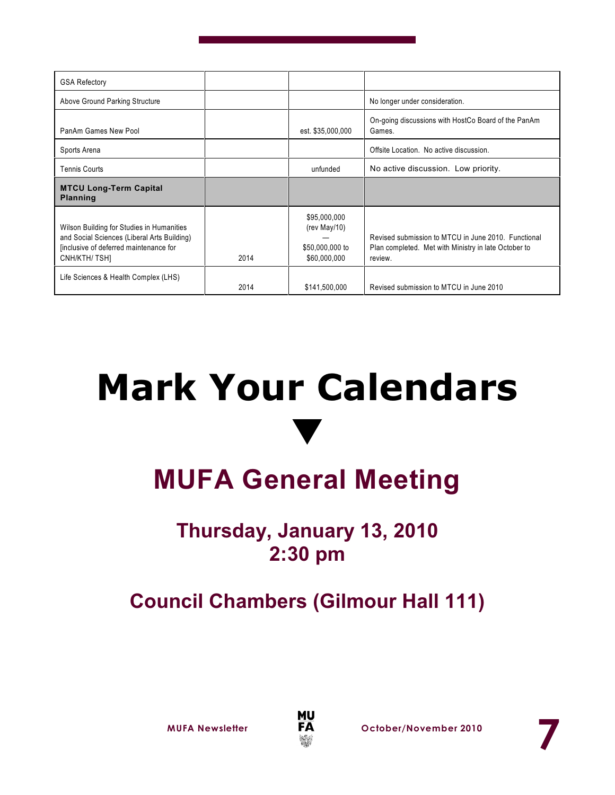| <b>GSA Refectory</b>                                                                                                                               |      |                                                                 |                                                                                                                        |
|----------------------------------------------------------------------------------------------------------------------------------------------------|------|-----------------------------------------------------------------|------------------------------------------------------------------------------------------------------------------------|
| Above Ground Parking Structure                                                                                                                     |      |                                                                 | No longer under consideration.                                                                                         |
| PanAm Games New Pool                                                                                                                               |      | est. \$35,000,000                                               | On-going discussions with HostCo Board of the PanAm<br>Games.                                                          |
| Sports Arena                                                                                                                                       |      |                                                                 | Offsite Location. No active discussion.                                                                                |
| <b>Tennis Courts</b>                                                                                                                               |      | unfunded                                                        | No active discussion. Low priority.                                                                                    |
| <b>MTCU Long-Term Capital</b><br><b>Planning</b>                                                                                                   |      |                                                                 |                                                                                                                        |
| Wilson Building for Studies in Humanities<br>and Social Sciences (Liberal Arts Building)<br>[inclusive of deferred maintenance for<br>CNH/KTH/TSH] | 2014 | \$95,000,000<br>(rev May/10)<br>\$50,000,000 to<br>\$60,000,000 | Revised submission to MTCU in June 2010. Functional<br>Plan completed. Met with Ministry in late October to<br>review. |
| Life Sciences & Health Complex (LHS)                                                                                                               | 2014 | \$141,500,000                                                   | Revised submission to MTCU in June 2010                                                                                |

# **Mark Your Calendars**  $\blacktriangledown$

## **MUFA General Meeting**

## **Thursday, January 13, 2010 2:30 pm**

## **Council Chambers (Gilmour Hall 111)**